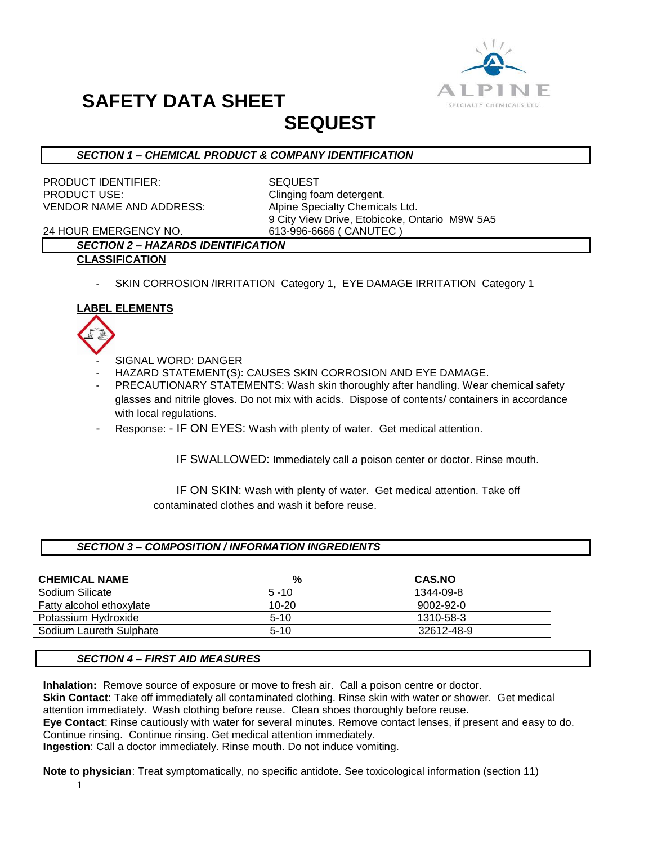

## **SAFETY DATA SHEET**

### **SEQUEST**

#### *SECTION 1 – CHEMICAL PRODUCT & COMPANY IDENTIFICATION*

PRODUCT IDENTIFIER: SEQUEST PRODUCT USE: Clinging foam detergent. VENDOR NAME AND ADDRESS: Alpine Specialty Chemicals Ltd.

9 City View Drive, Etobicoke, Ontario M9W 5A5

24 HOUR EMERGENCY NO. 613-996-6666 ( CANUTEC )

### *SECTION 2 – HAZARDS IDENTIFICATION*

#### **CLASSIFICATION**

SKIN CORROSION /IRRITATION Category 1, EYE DAMAGE IRRITATION Category 1

#### **LABEL ELEMENTS**



- SIGNAL WORD: DANGER
- HAZARD STATEMENT(S): CAUSES SKIN CORROSION AND EYE DAMAGE.
- PRECAUTIONARY STATEMENTS: Wash skin thoroughly after handling. Wear chemical safety glasses and nitrile gloves. Do not mix with acids. Dispose of contents/ containers in accordance with local regulations.
- Response: IF ON EYES: Wash with plenty of water. Get medical attention.

IF SWALLOWED: Immediately call a poison center or doctor. Rinse mouth.

 IF ON SKIN: Wash with plenty of water. Get medical attention. Take off contaminated clothes and wash it before reuse.

#### *SECTION 3 – COMPOSITION / INFORMATION INGREDIENTS*

| <b>CHEMICAL NAME</b>     | %         | <b>CAS.NO</b> |
|--------------------------|-----------|---------------|
| Sodium Silicate          | $5 - 10$  | 1344-09-8     |
| Fatty alcohol ethoxylate | $10 - 20$ | 9002-92-0     |
| Potassium Hvdroxide      | $5-10$    | 1310-58-3     |
| Sodium Laureth Sulphate  | $5-10$    | 32612-48-9    |

#### *SECTION 4 – FIRST AID MEASURES*

**Inhalation:** Remove source of exposure or move to fresh air. Call a poison centre or doctor. **Skin Contact**: Take off immediately all contaminated clothing. Rinse skin with water or shower. Get medical attention immediately. Wash clothing before reuse. Clean shoes thoroughly before reuse. **Eye Contact**: Rinse cautiously with water for several minutes. Remove contact lenses, if present and easy to do. Continue rinsing. Continue rinsing. Get medical attention immediately. **Ingestion**: Call a doctor immediately. Rinse mouth. Do not induce vomiting.

**Note to physician**: Treat symptomatically, no specific antidote. See toxicological information (section 11)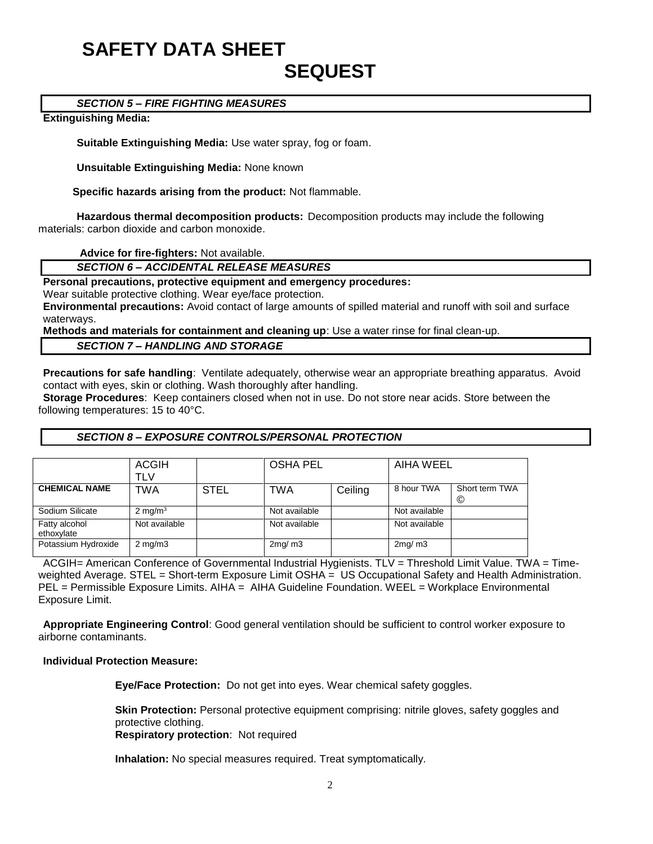### **SAFETY DATA SHEET SEQUEST**

#### *SECTION 5 – FIRE FIGHTING MEASURES*

#### **Extinguishing Media:**

**Suitable Extinguishing Media:** Use water spray, fog or foam.

**Unsuitable Extinguishing Media:** None known

 **Specific hazards arising from the product:** Not flammable.

**Hazardous thermal decomposition products:** Decomposition products may include the following materials: carbon dioxide and carbon monoxide.

**Advice for fire-fighters:** Not available.

*SECTION 6 – ACCIDENTAL RELEASE MEASURES*

**Personal precautions, protective equipment and emergency procedures:**

Wear suitable protective clothing. Wear eye/face protection.

**Environmental precautions:** Avoid contact of large amounts of spilled material and runoff with soil and surface waterways.

**Methods and materials for containment and cleaning up**: Use a water rinse for final clean-up.

#### *SECTION 7 – HANDLING AND STORAGE*

**Precautions for safe handling**: Ventilate adequately, otherwise wear an appropriate breathing apparatus. Avoid contact with eyes, skin or clothing. Wash thoroughly after handling.

**Storage Procedures**: Keep containers closed when not in use. Do not store near acids. Store between the following temperatures: 15 to 40°C.

#### *SECTION 8 – EXPOSURE CONTROLS/PERSONAL PROTECTION*

|                             | <b>ACGIH</b><br>TLV |             | <b>OSHA PEL</b> |         | AIHA WEEL     |                     |
|-----------------------------|---------------------|-------------|-----------------|---------|---------------|---------------------|
| <b>CHEMICAL NAME</b>        | TWA                 | <b>STEL</b> | TWA             | Ceiling | 8 hour TWA    | Short term TWA<br>© |
| Sodium Silicate             | $2 \text{ mg/m}^3$  |             | Not available   |         | Not available |                     |
| Fatty alcohol<br>ethoxylate | Not available       |             | Not available   |         | Not available |                     |
| Potassium Hydroxide         | $2 \text{ mg/m}$    |             | 2mq/m3          |         | 2mg/m3        |                     |

ACGIH= American Conference of Governmental Industrial Hygienists. TLV = Threshold Limit Value. TWA = Timeweighted Average. STEL = Short-term Exposure Limit OSHA = US Occupational Safety and Health Administration. PEL = Permissible Exposure Limits. AIHA = AIHA Guideline Foundation. WEEL = Workplace Environmental Exposure Limit.

**Appropriate Engineering Control**: Good general ventilation should be sufficient to control worker exposure to airborne contaminants.

#### **Individual Protection Measure:**

**Eye/Face Protection:** Do not get into eyes. Wear chemical safety goggles.

**Skin Protection:** Personal protective equipment comprising: nitrile gloves, safety goggles and protective clothing.

**Respiratory protection**: Not required

**Inhalation:** No special measures required. Treat symptomatically.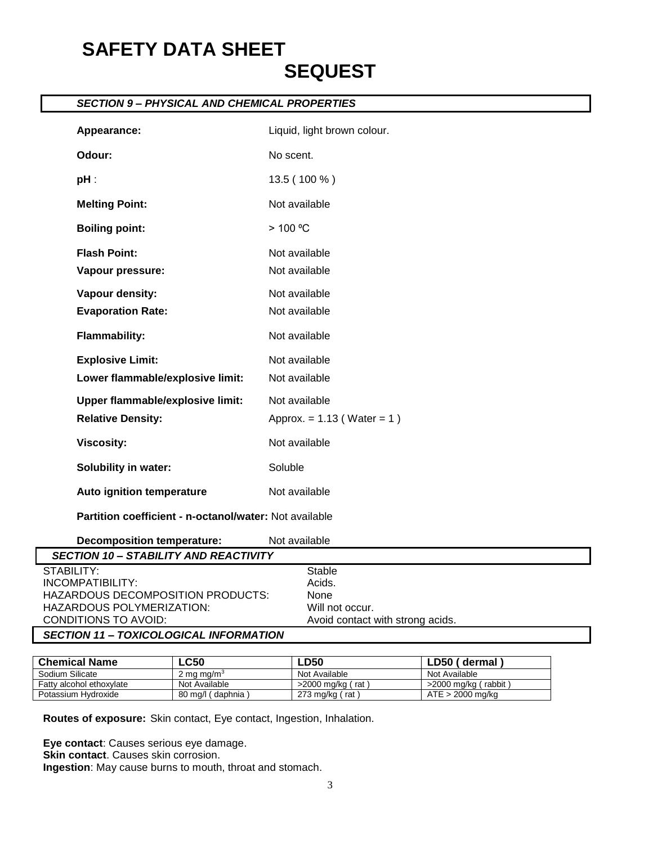### **SAFETY DATA SHEET SEQUEST**

#### *SECTION 9 – PHYSICAL AND CHEMICAL PROPERTIES*

| Appearance:                                                         | Liquid, light brown colour.                   |
|---------------------------------------------------------------------|-----------------------------------------------|
| Odour:                                                              | No scent.                                     |
| $pH$ :                                                              | 13.5 (100 %)                                  |
| <b>Melting Point:</b>                                               | Not available                                 |
| <b>Boiling point:</b>                                               | > 100 °C                                      |
| <b>Flash Point:</b><br>Vapour pressure:                             | Not available<br>Not available                |
| Vapour density:<br><b>Evaporation Rate:</b>                         | Not available<br>Not available                |
| <b>Flammability:</b>                                                | Not available                                 |
| <b>Explosive Limit:</b><br>Lower flammable/explosive limit:         | Not available<br>Not available                |
| <b>Upper flammable/explosive limit:</b><br><b>Relative Density:</b> | Not available<br>Approx. = $1.13$ (Water = 1) |
| <b>Viscosity:</b>                                                   | Not available                                 |
| <b>Solubility in water:</b>                                         | Soluble                                       |
| Auto ignition temperature                                           | Not available                                 |
| Partition coefficient - n-octanol/water: Not available              |                                               |

| <b>Decomposition temperature:</b>             | Not available                    |
|-----------------------------------------------|----------------------------------|
| <b>SECTION 10 - STABILITY AND REACTIVITY</b>  |                                  |
| STABILITY:                                    | Stable                           |
| INCOMPATIBILITY:                              | Acids.                           |
| HAZARDOUS DECOMPOSITION PRODUCTS:             | None                             |
| HAZARDOUS POLYMERIZATION:                     | Will not occur.                  |
| CONDITIONS TO AVOID:                          | Avoid contact with strong acids. |
| <b>SECTION 11 - TOXICOLOGICAL INFORMATION</b> |                                  |

| <b>Chemical Name</b>     | ∟C50                   | <b>LD50</b>         | LD50 (dermal)              |
|--------------------------|------------------------|---------------------|----------------------------|
| Sodium Silicate          | 2 mg mg/m <sup>3</sup> | Not Available       | Not Available              |
| Fatty alcohol ethoxylate | Not Available          | >2000 mg/kg ( rat ` | ˈrabbit ˈ<br>>2000 mg/kg ( |
| Potassium Hydroxide      | 80 mg/l (daphnia)      | 273 mg/kg ( rat )   | $ATE > 2000$ mg/kg         |

**Routes of exposure:** Skin contact, Eye contact, Ingestion, Inhalation.

**Eye contact**: Causes serious eye damage. **Skin contact**. Causes skin corrosion. **Ingestion**: May cause burns to mouth, throat and stomach.